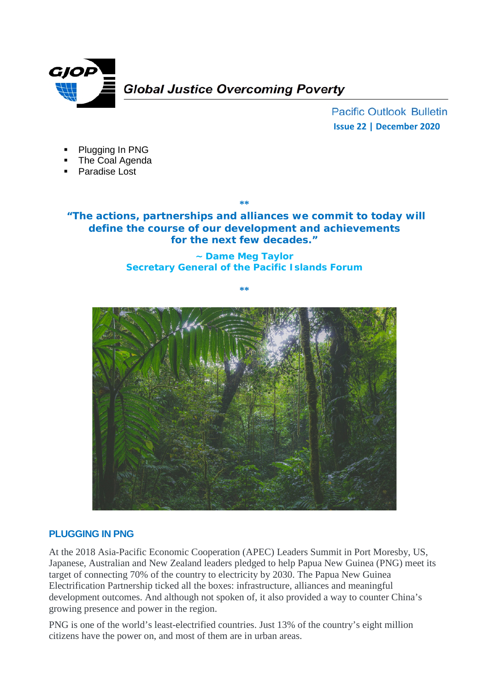

**Pacific Outlook Bulletin Issue 22 | December 2020**

- Plugging In PNG
- The Coal Agenda
- Paradise Lost

**"The actions, partnerships and alliances we commit to today will define the course of our development and achievements for the next few decades."**

**\*\***

#### **~ Dame Meg Taylor Secretary General of the Pacific Islands Forum**

**\*\***



# **PLUGGING IN PNG**

At the 2018 Asia-Pacific Economic Cooperation (APEC) Leaders Summit in Port Moresby, US, Japanese, Australian and New Zealand leaders pledged to help Papua New Guinea (PNG) meet its target of connecting 70% of the country to electricity by 2030. The Papua New Guinea Electrification Partnership ticked all the boxes: infrastructure, alliances and meaningful development outcomes. And although not spoken of, it also provided a way to counter China's growing presence and power in the region.

PNG is one of the world's least-electrified countries. Just 13% of the country's eight million citizens have the power on, and most of them are in urban areas.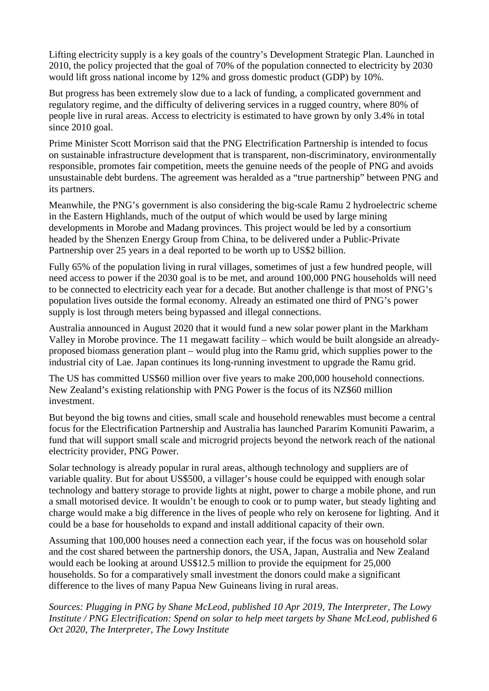Lifting electricity supply is a key goals of the country's Development Strategic Plan. Launched in 2010, the policy projected that the goal of 70% of the population connected to electricity by 2030 would lift gross national income by 12% and gross domestic product (GDP) by 10%.

But progress has been extremely slow due to a lack of funding, a complicated government and regulatory regime, and the difficulty of delivering services in a rugged country, where 80% of people live in rural areas. Access to electricity is estimated to have grown by only 3.4% in total since 2010 goal.

Prime Minister Scott Morrison said that the PNG Electrification Partnership is intended to focus on sustainable infrastructure development that is transparent, non-discriminatory, environmentally responsible, promotes fair competition, meets the genuine needs of the people of PNG and avoids unsustainable debt burdens. The agreement was heralded as a "true partnership" between PNG and its partners.

Meanwhile, the PNG's government is also considering the big-scale Ramu 2 hydroelectric scheme in the Eastern Highlands, much of the output of which would be used by large mining developments in Morobe and Madang provinces. This project would be led by a consortium headed by the Shenzen Energy Group from China, to be delivered under a Public-Private Partnership over 25 years in a deal reported to be worth up to US\$2 billion.

Fully 65% of the population living in rural villages, sometimes of just a few hundred people, will need access to power if the 2030 goal is to be met, and around 100,000 PNG households will need to be connected to electricity each year for a decade. But another challenge is that most of PNG's population lives outside the formal economy. Already an estimated one third of PNG's power supply is lost through meters being bypassed and illegal connections.

Australia announced in August 2020 that it would fund a new solar power plant in the Markham Valley in Morobe province. The 11 megawatt facility – which would be built alongside an alreadyproposed biomass generation plant – would plug into the Ramu grid, which supplies power to the industrial city of Lae. Japan continues its long-running investment to upgrade the Ramu grid.

The US has committed US\$60 million over five years to make 200,000 household connections. New Zealand's existing relationship with PNG Power is the focus of its NZ\$60 million investment.

But beyond the big towns and cities, small scale and household renewables must become a central focus for the Electrification Partnership and Australia has launched Pararim Komuniti Pawarim, a fund that will support small scale and microgrid projects beyond the network reach of the national electricity provider, PNG Power.

Solar technology is already popular in rural areas, although technology and suppliers are of variable quality. But for about US\$500, a villager's house could be equipped with enough solar technology and battery storage to provide lights at night, power to charge a mobile phone, and run a small motorised device. It wouldn't be enough to cook or to pump water, but steady lighting and charge would make a big difference in the lives of people who rely on kerosene for lighting. And it could be a base for households to expand and install additional capacity of their own.

Assuming that 100,000 houses need a connection each year, if the focus was on household solar and the cost shared between the partnership donors, the USA, Japan, Australia and New Zealand would each be looking at around US\$12.5 million to provide the equipment for 25,000 households. So for a comparatively small investment the donors could make a significant difference to the lives of many Papua New Guineans living in rural areas.

*Sources: Plugging in PNG by Shane McLeod, published 10 Apr 2019, The Interpreter, The Lowy Institute / PNG Electrification: Spend on solar to help meet targets by Shane McLeod, published 6 Oct 2020, The Interpreter, The Lowy Institute*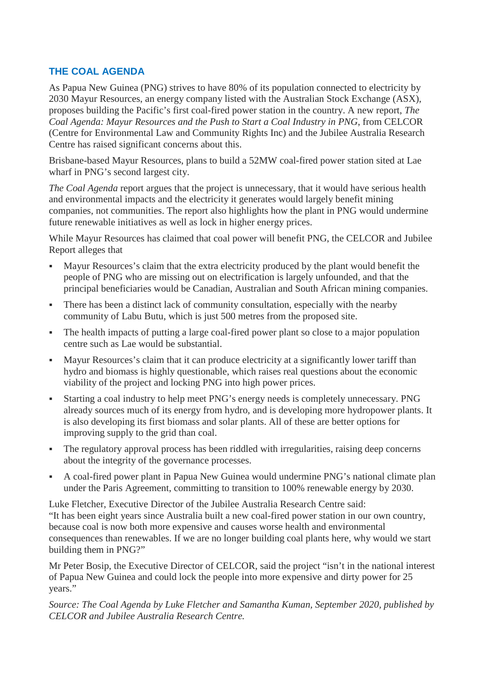## **THE COAL AGENDA**

As Papua New Guinea (PNG) strives to have 80% of its population connected to electricity by 2030 Mayur Resources, an energy company listed with the Australian Stock Exchange (ASX), proposes building the Pacific's first coal-fired power station in the country. A new report, *The Coal Agenda: Mayur Resources and the Push to Start a Coal Industry in PNG*, from CELCOR (Centre for Environmental Law and Community Rights Inc) and the Jubilee Australia Research Centre has raised significant concerns about this.

Brisbane-based Mayur Resources, plans to build a 52MW coal-fired power station sited at Lae wharf in PNG's second largest city.

*The Coal Agenda* report argues that the project is unnecessary, that it would have serious health and environmental impacts and the electricity it generates would largely benefit mining companies, not communities. The report also highlights how the plant in PNG would undermine future renewable initiatives as well as lock in higher energy prices.

While Mayur Resources has claimed that coal power will benefit PNG, the CELCOR and Jubilee Report alleges that

- Mayur Resources's claim that the extra electricity produced by the plant would benefit the people of PNG who are missing out on electrification is largely unfounded, and that the principal beneficiaries would be Canadian, Australian and South African mining companies.
- There has been a distinct lack of community consultation, especially with the nearby community of Labu Butu, which is just 500 metres from the proposed site.
- The health impacts of putting a large coal-fired power plant so close to a major population centre such as Lae would be substantial.
- Mayur Resources's claim that it can produce electricity at a significantly lower tariff than hydro and biomass is highly questionable, which raises real questions about the economic viability of the project and locking PNG into high power prices.
- Starting a coal industry to help meet PNG's energy needs is completely unnecessary. PNG already sources much of its energy from hydro, and is developing more hydropower plants. It is also developing its first biomass and solar plants. All of these are better options for improving supply to the grid than coal.
- The regulatory approval process has been riddled with irregularities, raising deep concerns about the integrity of the governance processes.
- A coal-fired power plant in Papua New Guinea would undermine PNG's national climate plan under the Paris Agreement, committing to transition to 100% renewable energy by 2030.

Luke Fletcher, Executive Director of the Jubilee Australia Research Centre said: "It has been eight years since Australia built a new coal-fired power station in our own country, because coal is now both more expensive and causes worse health and environmental consequences than renewables. If we are no longer building coal plants here, why would we start building them in PNG?"

Mr Peter Bosip, the Executive Director of CELCOR, said the project "isn't in the national interest of Papua New Guinea and could lock the people into more expensive and dirty power for 25 years."

*Source: The Coal Agenda by Luke Fletcher and Samantha Kuman, September 2020, published by CELCOR and Jubilee Australia Research Centre.*